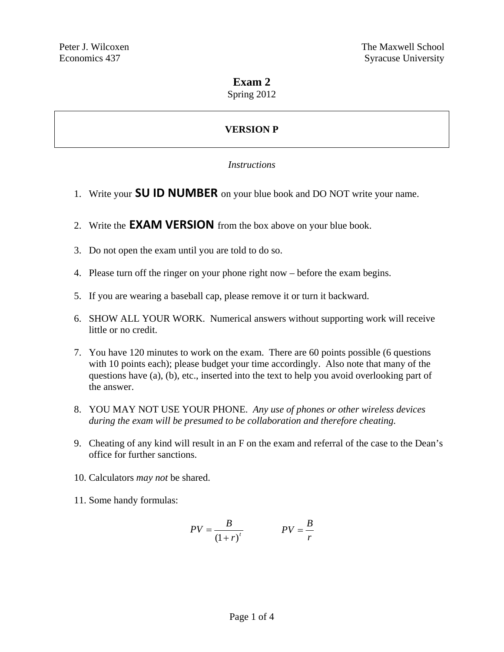## **Exam 2**

Spring 2012

# **VERSION P**

### *Instructions*

- 1. Write your **SU ID NUMBER** on your blue book and DO NOT write your name.
- 2. Write the **EXAM VERSION** from the box above on your blue book.
- 3. Do not open the exam until you are told to do so.
- 4. Please turn off the ringer on your phone right now before the exam begins.
- 5. If you are wearing a baseball cap, please remove it or turn it backward.
- 6. SHOW ALL YOUR WORK. Numerical answers without supporting work will receive little or no credit.
- 7. You have 120 minutes to work on the exam. There are 60 points possible (6 questions with 10 points each); please budget your time accordingly. Also note that many of the questions have (a), (b), etc., inserted into the text to help you avoid overlooking part of the answer.
- 8. YOU MAY NOT USE YOUR PHONE. *Any use of phones or other wireless devices during the exam will be presumed to be collaboration and therefore cheating.*
- 9. Cheating of any kind will result in an F on the exam and referral of the case to the Dean's office for further sanctions.
- 10. Calculators *may not* be shared.
- 11. Some handy formulas:

$$
PV = \frac{B}{\left(1+r\right)^t} \qquad PV = \frac{B}{r}
$$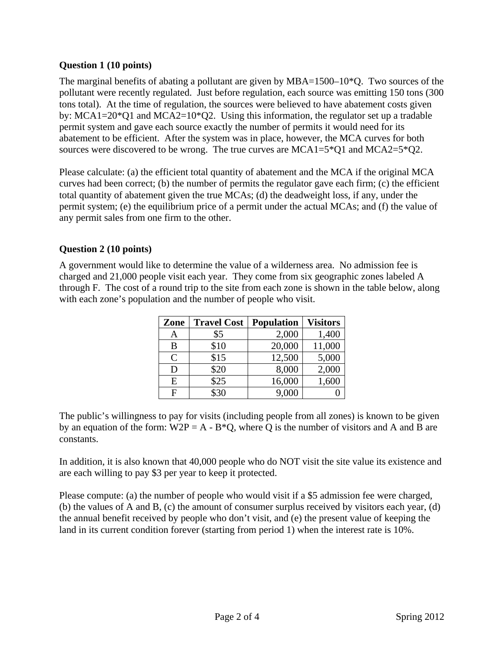### **Question 1 (10 points)**

The marginal benefits of abating a pollutant are given by MBA=1500–10<sup>\*</sup>Q. Two sources of the pollutant were recently regulated. Just before regulation, each source was emitting 150 tons (300 tons total). At the time of regulation, the sources were believed to have abatement costs given by: MCA1=20\*Q1 and MCA2=10\*Q2. Using this information, the regulator set up a tradable permit system and gave each source exactly the number of permits it would need for its abatement to be efficient. After the system was in place, however, the MCA curves for both sources were discovered to be wrong. The true curves are  $MCA1=5*Q1$  and  $MCA2=5*Q2$ .

Please calculate: (a) the efficient total quantity of abatement and the MCA if the original MCA curves had been correct; (b) the number of permits the regulator gave each firm; (c) the efficient total quantity of abatement given the true MCAs; (d) the deadweight loss, if any, under the permit system; (e) the equilibrium price of a permit under the actual MCAs; and (f) the value of any permit sales from one firm to the other.

## **Question 2 (10 points)**

A government would like to determine the value of a wilderness area. No admission fee is charged and 21,000 people visit each year. They come from six geographic zones labeled A through F. The cost of a round trip to the site from each zone is shown in the table below, along with each zone's population and the number of people who visit.

| Zone           | <b>Travel Cost</b> | <b>Population</b> | <b>Visitors</b> |
|----------------|--------------------|-------------------|-----------------|
| A              | \$5                | 2,000             | 1,400           |
| B              | \$10               | 20,000            | 11,000          |
| $\mathsf{C}$   | \$15               | 12,500            | 5,000           |
| D              | \$20               | 8,000             | 2,000           |
| E              | \$25               | 16,000            | 1,600           |
| $\overline{F}$ | \$30               | 9,000             |                 |

The public's willingness to pay for visits (including people from all zones) is known to be given by an equation of the form:  $W2P = A - B^*Q$ , where Q is the number of visitors and A and B are constants.

In addition, it is also known that 40,000 people who do NOT visit the site value its existence and are each willing to pay \$3 per year to keep it protected.

Please compute: (a) the number of people who would visit if a \$5 admission fee were charged, (b) the values of A and B, (c) the amount of consumer surplus received by visitors each year, (d) the annual benefit received by people who don't visit, and (e) the present value of keeping the land in its current condition forever (starting from period 1) when the interest rate is 10%.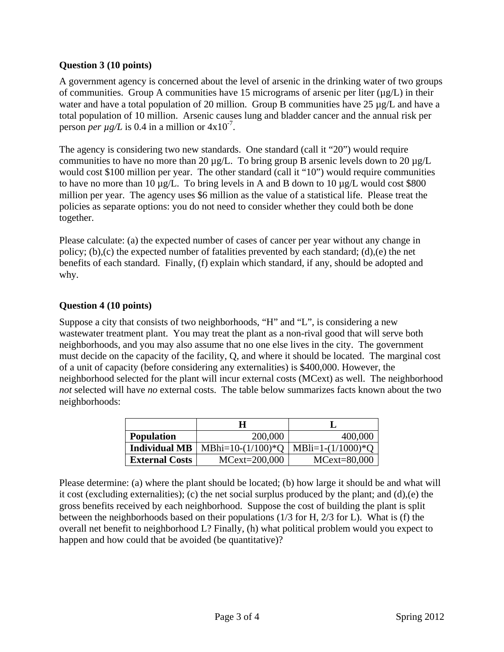### **Question 3 (10 points)**

A government agency is concerned about the level of arsenic in the drinking water of two groups of communities. Group A communities have 15 micrograms of arsenic per liter  $(\mu g/L)$  in their water and have a total population of 20 million. Group B communities have 25  $\mu$ g/L and have a total population of 10 million. Arsenic causes lung and bladder cancer and the annual risk per person *per*  $\mu$ g/L is 0.4 in a million or  $4 \times 10^{-7}$ .

The agency is considering two new standards. One standard (call it "20") would require communities to have no more than 20  $\mu$ g/L. To bring group B arsenic levels down to 20  $\mu$ g/L would cost \$100 million per year. The other standard (call it "10") would require communities to have no more than 10  $\mu$ g/L. To bring levels in A and B down to 10  $\mu$ g/L would cost \$800 million per year. The agency uses \$6 million as the value of a statistical life. Please treat the policies as separate options: you do not need to consider whether they could both be done together.

Please calculate: (a) the expected number of cases of cancer per year without any change in policy; (b),(c) the expected number of fatalities prevented by each standard; (d),(e) the net benefits of each standard. Finally, (f) explain which standard, if any, should be adopted and why.

## **Question 4 (10 points)**

Suppose a city that consists of two neighborhoods, "H" and "L", is considering a new wastewater treatment plant. You may treat the plant as a non-rival good that will serve both neighborhoods, and you may also assume that no one else lives in the city. The government must decide on the capacity of the facility, Q, and where it should be located. The marginal cost of a unit of capacity (before considering any externalities) is \$400,000. However, the neighborhood selected for the plant will incur external costs (MCext) as well. The neighborhood *not* selected will have *no* external costs. The table below summarizes facts known about the two neighborhoods:

|                       | H                    |                      |
|-----------------------|----------------------|----------------------|
| <b>Population</b>     | 200,000              | 400,000              |
| <b>Individual MB</b>  | MBhi= $10-(1/100)*Q$ | MBli=1- $(1/1000)*Q$ |
| <b>External Costs</b> | $MCext = 200,000$    | $MCext = 80,000$     |

Please determine: (a) where the plant should be located; (b) how large it should be and what will it cost (excluding externalities); (c) the net social surplus produced by the plant; and (d),(e) the gross benefits received by each neighborhood. Suppose the cost of building the plant is split between the neighborhoods based on their populations (1/3 for H, 2/3 for L). What is (f) the overall net benefit to neighborhood L? Finally, (h) what political problem would you expect to happen and how could that be avoided (be quantitative)?